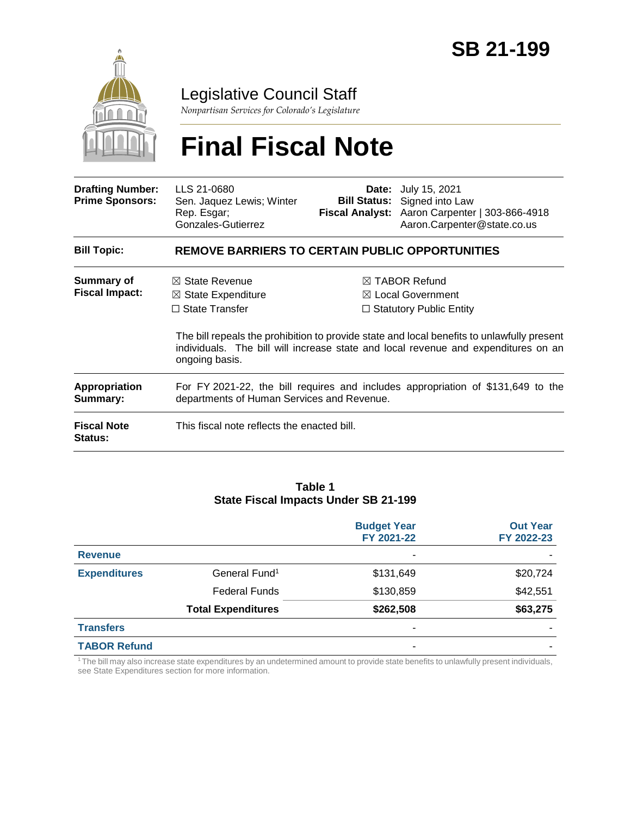

Legislative Council Staff

*Nonpartisan Services for Colorado's Legislature*

# **Final Fiscal Note**

| <b>Drafting Number:</b><br><b>Prime Sponsors:</b> | LLS 21-0680<br>Sen. Jaquez Lewis; Winter<br>Rep. Esgar;<br>Gonzales-Gutierrez                                                  | Date: | July 15, 2021<br><b>Bill Status:</b> Signed into Law<br>Fiscal Analyst: Aaron Carpenter   303-866-4918<br>Aaron.Carpenter@state.co.us                                                                                                                                          |  |  |
|---------------------------------------------------|--------------------------------------------------------------------------------------------------------------------------------|-------|--------------------------------------------------------------------------------------------------------------------------------------------------------------------------------------------------------------------------------------------------------------------------------|--|--|
| <b>Bill Topic:</b>                                | <b>REMOVE BARRIERS TO CERTAIN PUBLIC OPPORTUNITIES</b>                                                                         |       |                                                                                                                                                                                                                                                                                |  |  |
| <b>Summary of</b><br><b>Fiscal Impact:</b>        | $\boxtimes$ State Revenue<br>$\boxtimes$ State Expenditure<br>$\Box$ State Transfer<br>ongoing basis.                          |       | $\boxtimes$ TABOR Refund<br>$\boxtimes$ Local Government<br>$\Box$ Statutory Public Entity<br>The bill repeals the prohibition to provide state and local benefits to unlawfully present<br>individuals. The bill will increase state and local revenue and expenditures on an |  |  |
| <b>Appropriation</b><br>Summary:                  | For FY 2021-22, the bill requires and includes appropriation of \$131,649 to the<br>departments of Human Services and Revenue. |       |                                                                                                                                                                                                                                                                                |  |  |
| <b>Fiscal Note</b><br><b>Status:</b>              | This fiscal note reflects the enacted bill.                                                                                    |       |                                                                                                                                                                                                                                                                                |  |  |

#### **Table 1 State Fiscal Impacts Under SB 21-199**

|                     |                           | <b>Budget Year</b><br>FY 2021-22 | <b>Out Year</b><br>FY 2022-23 |
|---------------------|---------------------------|----------------------------------|-------------------------------|
| <b>Revenue</b>      |                           | ۰                                |                               |
| <b>Expenditures</b> | General Fund <sup>1</sup> | \$131,649                        | \$20,724                      |
|                     | <b>Federal Funds</b>      | \$130,859                        | \$42,551                      |
|                     | <b>Total Expenditures</b> | \$262,508                        | \$63,275                      |
| <b>Transfers</b>    |                           | -                                |                               |
| <b>TABOR Refund</b> |                           |                                  |                               |

<sup>1</sup>The bill may also increase state expenditures by an undetermined amount to provide state benefits to unlawfully present individuals, see State Expenditures section for more information.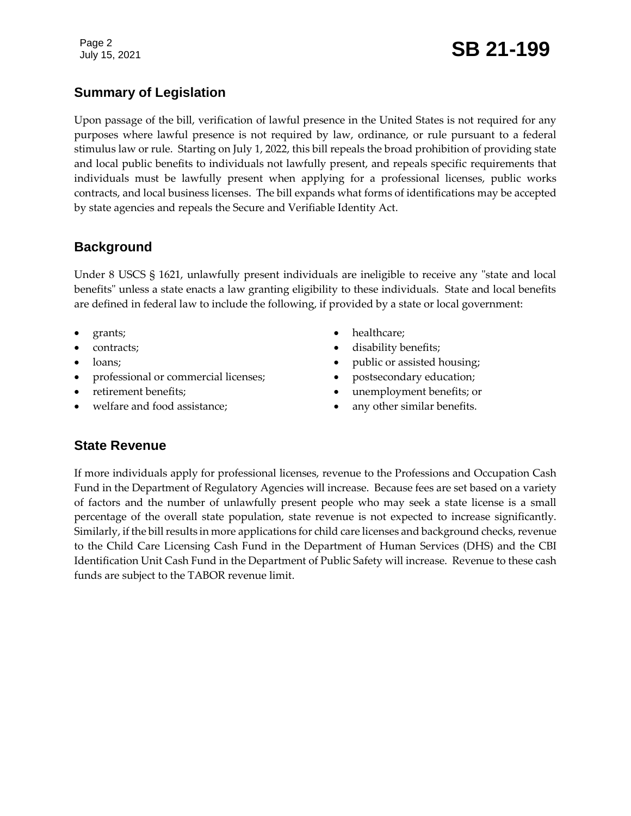## Page 2<br>July 15, 2021 **SB 21-199**

## **Summary of Legislation**

Upon passage of the bill, verification of lawful presence in the United States is not required for any purposes where lawful presence is not required by law, ordinance, or rule pursuant to a federal stimulus law or rule. Starting on July 1, 2022, this bill repeals the broad prohibition of providing state and local public benefits to individuals not lawfully present, and repeals specific requirements that individuals must be lawfully present when applying for a professional licenses, public works contracts, and local business licenses. The bill expands what forms of identifications may be accepted by state agencies and repeals the Secure and Verifiable Identity Act.

## **Background**

Under 8 USCS § 1621, unlawfully present individuals are ineligible to receive any "state and local benefits" unless a state enacts a law granting eligibility to these individuals. State and local benefits are defined in federal law to include the following, if provided by a state or local government:

- grants;
- contracts;
- loans;
- professional or commercial licenses;
- retirement benefits;
- welfare and food assistance;
- healthcare;
- disability benefits;
- public or assisted housing;
- postsecondary education;
- unemployment benefits; or
- any other similar benefits.

## **State Revenue**

If more individuals apply for professional licenses, revenue to the Professions and Occupation Cash Fund in the Department of Regulatory Agencies will increase. Because fees are set based on a variety of factors and the number of unlawfully present people who may seek a state license is a small percentage of the overall state population, state revenue is not expected to increase significantly. Similarly, if the bill results in more applications for child care licenses and background checks, revenue to the Child Care Licensing Cash Fund in the Department of Human Services (DHS) and the CBI Identification Unit Cash Fund in the Department of Public Safety will increase. Revenue to these cash funds are subject to the TABOR revenue limit.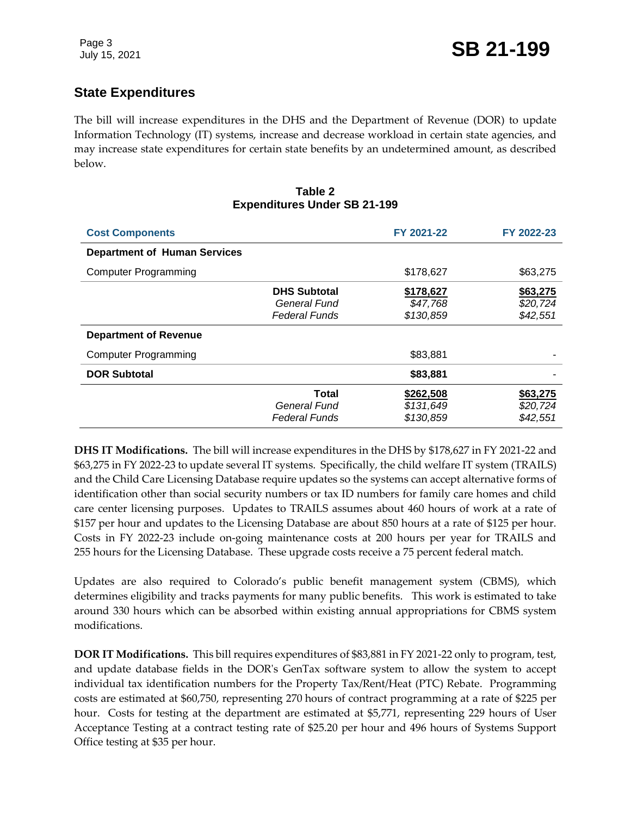## **State Expenditures**

The bill will increase expenditures in the DHS and the Department of Revenue (DOR) to update Information Technology (IT) systems, increase and decrease workload in certain state agencies, and may increase state expenditures for certain state benefits by an undetermined amount, as described below.

#### **Table 2 Expenditures Under SB 21-199**

| <b>Cost Components</b>              |                                                             | FY 2021-22                          | FY 2022-23                       |
|-------------------------------------|-------------------------------------------------------------|-------------------------------------|----------------------------------|
| <b>Department of Human Services</b> |                                                             |                                     |                                  |
| <b>Computer Programming</b>         |                                                             | \$178,627                           | \$63,275                         |
|                                     | <b>DHS Subtotal</b><br>General Fund<br><b>Federal Funds</b> | \$178,627<br>\$47,768<br>\$130,859  | \$63,275<br>\$20,724<br>\$42,551 |
| <b>Department of Revenue</b>        |                                                             |                                     |                                  |
| <b>Computer Programming</b>         |                                                             | \$83,881                            |                                  |
| <b>DOR Subtotal</b>                 |                                                             | \$83,881                            |                                  |
|                                     | Total<br>General Fund<br><b>Federal Funds</b>               | \$262,508<br>\$131,649<br>\$130,859 | \$63,275<br>\$20,724<br>\$42,551 |

**DHS IT Modifications.** The bill will increase expenditures in the DHS by \$178,627 in FY 2021-22 and \$63,275 in FY 2022-23 to update several IT systems. Specifically, the child welfare IT system (TRAILS) and the Child Care Licensing Database require updates so the systems can accept alternative forms of identification other than social security numbers or tax ID numbers for family care homes and child care center licensing purposes. Updates to TRAILS assumes about 460 hours of work at a rate of \$157 per hour and updates to the Licensing Database are about 850 hours at a rate of \$125 per hour. Costs in FY 2022-23 include on-going maintenance costs at 200 hours per year for TRAILS and 255 hours for the Licensing Database. These upgrade costs receive a 75 percent federal match.

Updates are also required to Colorado's public benefit management system (CBMS), which determines eligibility and tracks payments for many public benefits. This work is estimated to take around 330 hours which can be absorbed within existing annual appropriations for CBMS system modifications.

**DOR IT Modifications.** This bill requires expenditures of \$83,881 in FY 2021-22 only to program, test, and update database fields in the DOR's GenTax software system to allow the system to accept individual tax identification numbers for the Property Tax/Rent/Heat (PTC) Rebate. Programming costs are estimated at \$60,750, representing 270 hours of contract programming at a rate of \$225 per hour. Costs for testing at the department are estimated at \$5,771, representing 229 hours of User Acceptance Testing at a contract testing rate of \$25.20 per hour and 496 hours of Systems Support Office testing at \$35 per hour.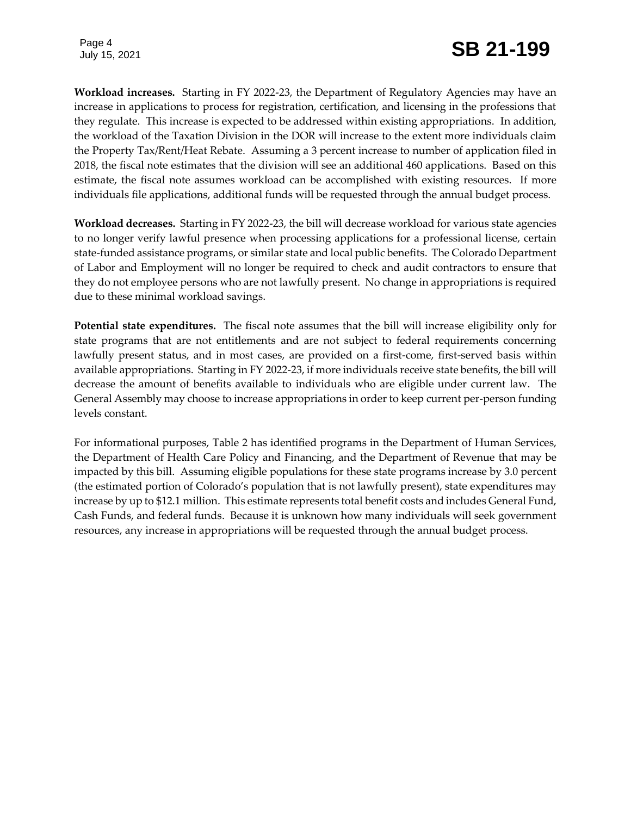Page 4

**Workload increases.** Starting in FY 2022-23, the Department of Regulatory Agencies may have an increase in applications to process for registration, certification, and licensing in the professions that they regulate. This increase is expected to be addressed within existing appropriations. In addition, the workload of the Taxation Division in the DOR will increase to the extent more individuals claim the Property Tax/Rent/Heat Rebate. Assuming a 3 percent increase to number of application filed in 2018, the fiscal note estimates that the division will see an additional 460 applications. Based on this estimate, the fiscal note assumes workload can be accomplished with existing resources. If more individuals file applications, additional funds will be requested through the annual budget process.

**Workload decreases.** Starting in FY 2022-23, the bill will decrease workload for various state agencies to no longer verify lawful presence when processing applications for a professional license, certain state-funded assistance programs, or similar state and local public benefits. The Colorado Department of Labor and Employment will no longer be required to check and audit contractors to ensure that they do not employee persons who are not lawfully present. No change in appropriations is required due to these minimal workload savings.

**Potential state expenditures.** The fiscal note assumes that the bill will increase eligibility only for state programs that are not entitlements and are not subject to federal requirements concerning lawfully present status, and in most cases, are provided on a first-come, first-served basis within available appropriations. Starting in FY 2022-23, if more individuals receive state benefits, the bill will decrease the amount of benefits available to individuals who are eligible under current law. The General Assembly may choose to increase appropriations in order to keep current per-person funding levels constant.

For informational purposes, Table 2 has identified programs in the Department of Human Services, the Department of Health Care Policy and Financing, and the Department of Revenue that may be impacted by this bill. Assuming eligible populations for these state programs increase by 3.0 percent (the estimated portion of Colorado's population that is not lawfully present), state expenditures may increase by up to \$12.1 million. This estimate represents total benefit costs and includes General Fund, Cash Funds, and federal funds. Because it is unknown how many individuals will seek government resources, any increase in appropriations will be requested through the annual budget process.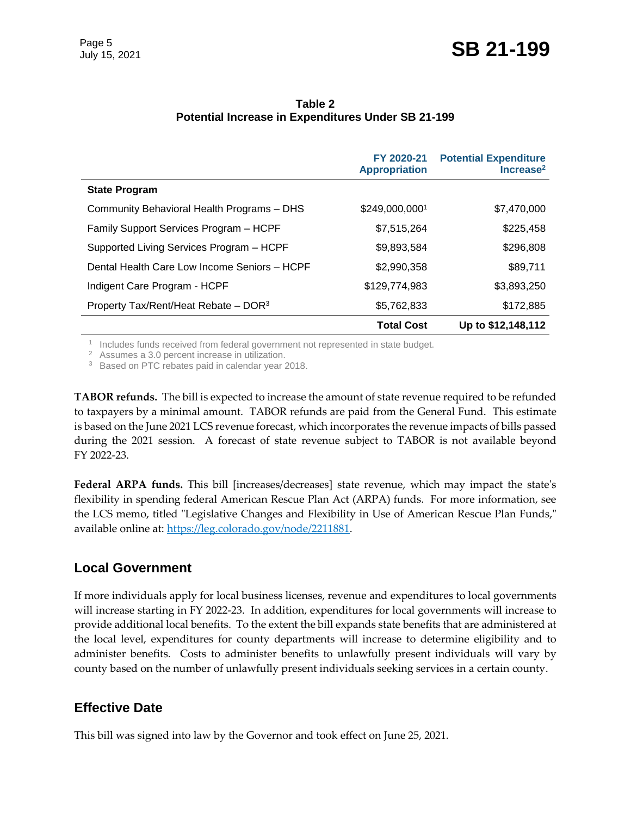|                                                  | FY 2020-21<br><b>Appropriation</b> | <b>Potential Expenditure</b><br>Increase <sup>2</sup> |
|--------------------------------------------------|------------------------------------|-------------------------------------------------------|
| <b>State Program</b>                             |                                    |                                                       |
| Community Behavioral Health Programs - DHS       | \$249,000,0001                     | \$7,470,000                                           |
| Family Support Services Program - HCPF           | \$7,515,264                        | \$225,458                                             |
| Supported Living Services Program - HCPF         | \$9,893,584                        | \$296,808                                             |
| Dental Health Care Low Income Seniors - HCPF     | \$2,990,358                        | \$89,711                                              |
| Indigent Care Program - HCPF                     | \$129,774,983                      | \$3,893,250                                           |
| Property Tax/Rent/Heat Rebate - DOR <sup>3</sup> | \$5,762,833                        | \$172,885                                             |
|                                                  | <b>Total Cost</b>                  | Up to \$12,148,112                                    |

#### **Table 2 Potential Increase in Expenditures Under SB 21-199**

<sup>1</sup> Includes funds received from federal government not represented in state budget.

<sup>2</sup> Assumes a 3.0 percent increase in utilization.

<sup>3</sup> Based on PTC rebates paid in calendar year 2018.

**TABOR refunds.** The bill is expected to increase the amount of state revenue required to be refunded to taxpayers by a minimal amount. TABOR refunds are paid from the General Fund. This estimate is based on the June 2021 LCS revenue forecast, which incorporates the revenue impacts of bills passed during the 2021 session. A forecast of state revenue subject to TABOR is not available beyond FY 2022-23.

**Federal ARPA funds.** This bill [increases/decreases] state revenue, which may impact the state's flexibility in spending federal American Rescue Plan Act (ARPA) funds. For more information, see the LCS memo, titled "Legislative Changes and Flexibility in Use of American Rescue Plan Funds," available online at: [https://leg.colorado.gov/node/2211881.](https://leg.colorado.gov/node/2211881)

### **Local Government**

If more individuals apply for local business licenses, revenue and expenditures to local governments will increase starting in FY 2022-23. In addition, expenditures for local governments will increase to provide additional local benefits. To the extent the bill expands state benefits that are administered at the local level, expenditures for county departments will increase to determine eligibility and to administer benefits. Costs to administer benefits to unlawfully present individuals will vary by county based on the number of unlawfully present individuals seeking services in a certain county.

## **Effective Date**

This bill was signed into law by the Governor and took effect on June 25, 2021.